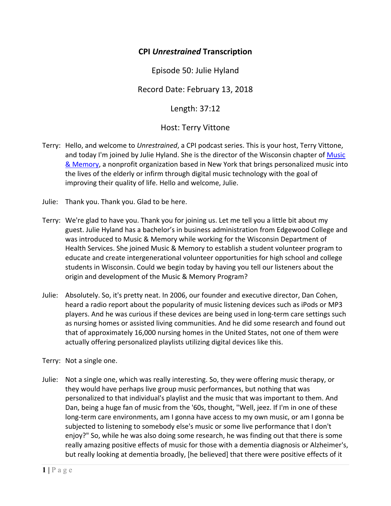## **CPI** *Unrestrained* **Transcription**

Episode 50: Julie Hyland

Record Date: February 13, 2018

Length: 37:12

## Host: Terry Vittone

- Terry: Hello, and welcome to *Unrestrained*, a CPI podcast series. This is your host, Terry Vittone, and today I'm joined by Julie Hyland. She is the director of the Wisconsin chapter of Music & Memory, a nonprofit organization based in New York that brings personalized music into the lives of the elderly or infirm through digital music technology with the goal of improving their quality of life. Hello and welcome, Julie.
- Julie: Thank you. Thank you. Glad to be here.
- Terry: We're glad to have you. Thank you for joining us. Let me tell you a little bit about my guest. Julie Hyland has a bachelor's in business administration from Edgewood College and was introduced to Music & Memory while working for the Wisconsin Department of Health Services. She joined Music & Memory to establish a student volunteer program to educate and create intergenerational volunteer opportunities for high school and college students in Wisconsin. Could we begin today by having you tell our listeners about the origin and development of the Music & Memory Program?
- Julie: Absolutely. So, it's pretty neat. In 2006, our founder and executive director, Dan Cohen, heard a radio report about the popularity of music listening devices such as iPods or MP3 players. And he was curious if these devices are being used in long‐term care settings such as nursing homes or assisted living communities. And he did some research and found out that of approximately 16,000 nursing homes in the United States, not one of them were actually offering personalized playlists utilizing digital devices like this.

Terry: Not a single one.

Julie: Not a single one, which was really interesting. So, they were offering music therapy, or they would have perhaps live group music performances, but nothing that was personalized to that individual's playlist and the music that was important to them. And Dan, being a huge fan of music from the '60s, thought, "Well, jeez. If I'm in one of these long-term care environments, am I gonna have access to my own music, or am I gonna be subjected to listening to somebody else's music or some live performance that I don't enjoy?" So, while he was also doing some research, he was finding out that there is some really amazing positive effects of music for those with a dementia diagnosis or Alzheimer's, but really looking at dementia broadly, [he believed] that there were positive effects of it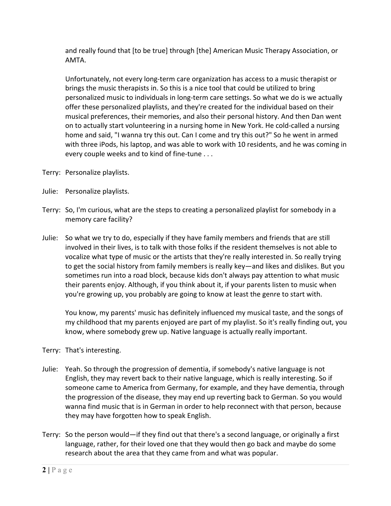and really found that [to be true] through [the] American Music Therapy Association, or AMTA.

Unfortunately, not every long‐term care organization has access to a music therapist or brings the music therapists in. So this is a nice tool that could be utilized to bring personalized music to individuals in long‐term care settings. So what we do is we actually offer these personalized playlists, and they're created for the individual based on their musical preferences, their memories, and also their personal history. And then Dan went on to actually start volunteering in a nursing home in New York. He cold‐called a nursing home and said, "I wanna try this out. Can I come and try this out?" So he went in armed with three iPods, his laptop, and was able to work with 10 residents, and he was coming in every couple weeks and to kind of fine‐tune . . .

- Terry: Personalize playlists.
- Julie: Personalize playlists.
- Terry: So, I'm curious, what are the steps to creating a personalized playlist for somebody in a memory care facility?
- Julie: So what we try to do, especially if they have family members and friends that are still involved in their lives, is to talk with those folks if the resident themselves is not able to vocalize what type of music or the artists that they're really interested in. So really trying to get the social history from family members is really key—and likes and dislikes. But you sometimes run into a road block, because kids don't always pay attention to what music their parents enjoy. Although, if you think about it, if your parents listen to music when you're growing up, you probably are going to know at least the genre to start with.

You know, my parents' music has definitely influenced my musical taste, and the songs of my childhood that my parents enjoyed are part of my playlist. So it's really finding out, you know, where somebody grew up. Native language is actually really important.

- Terry: That's interesting.
- Julie: Yeah. So through the progression of dementia, if somebody's native language is not English, they may revert back to their native language, which is really interesting. So if someone came to America from Germany, for example, and they have dementia, through the progression of the disease, they may end up reverting back to German. So you would wanna find music that is in German in order to help reconnect with that person, because they may have forgotten how to speak English.
- Terry: So the person would—if they find out that there's a second language, or originally a first language, rather, for their loved one that they would then go back and maybe do some research about the area that they came from and what was popular.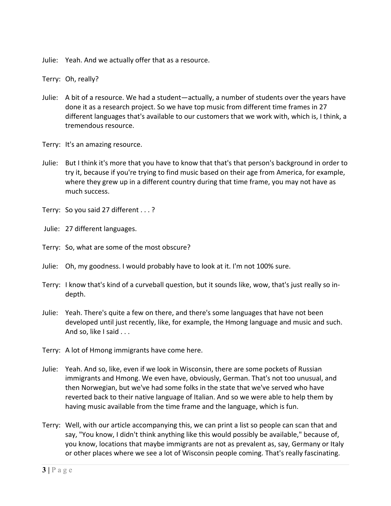Julie: Yeah. And we actually offer that as a resource.

Terry: Oh, really?

- Julie: A bit of a resource. We had a student—actually, a number of students over the years have done it as a research project. So we have top music from different time frames in 27 different languages that's available to our customers that we work with, which is, I think, a tremendous resource.
- Terry: It's an amazing resource.
- Julie: But I think it's more that you have to know that that's that person's background in order to try it, because if you're trying to find music based on their age from America, for example, where they grew up in a different country during that time frame, you may not have as much success.
- Terry: So you said 27 different . . . ?

Julie: 27 different languages.

- Terry: So, what are some of the most obscure?
- Julie: Oh, my goodness. I would probably have to look at it. I'm not 100% sure.
- Terry: I know that's kind of a curveball question, but it sounds like, wow, that's just really so in‐ depth.
- Julie: Yeah. There's quite a few on there, and there's some languages that have not been developed until just recently, like, for example, the Hmong language and music and such. And so, like I said . . .
- Terry: A lot of Hmong immigrants have come here.
- Julie: Yeah. And so, like, even if we look in Wisconsin, there are some pockets of Russian immigrants and Hmong. We even have, obviously, German. That's not too unusual, and then Norwegian, but we've had some folks in the state that we've served who have reverted back to their native language of Italian. And so we were able to help them by having music available from the time frame and the language, which is fun.
- Terry: Well, with our article accompanying this, we can print a list so people can scan that and say, "You know, I didn't think anything like this would possibly be available," because of, you know, locations that maybe immigrants are not as prevalent as, say, Germany or Italy or other places where we see a lot of Wisconsin people coming. That's really fascinating.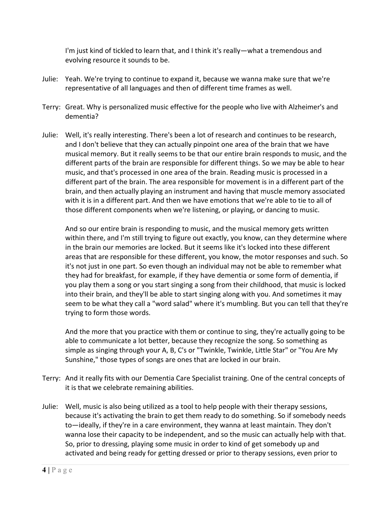I'm just kind of tickled to learn that, and I think it's really—what a tremendous and evolving resource it sounds to be.

- Julie: Yeah. We're trying to continue to expand it, because we wanna make sure that we're representative of all languages and then of different time frames as well.
- Terry: Great. Why is personalized music effective for the people who live with Alzheimer's and dementia?
- Julie: Well, it's really interesting. There's been a lot of research and continues to be research, and I don't believe that they can actually pinpoint one area of the brain that we have musical memory. But it really seems to be that our entire brain responds to music, and the different parts of the brain are responsible for different things. So we may be able to hear music, and that's processed in one area of the brain. Reading music is processed in a different part of the brain. The area responsible for movement is in a different part of the brain, and then actually playing an instrument and having that muscle memory associated with it is in a different part. And then we have emotions that we're able to tie to all of those different components when we're listening, or playing, or dancing to music.

And so our entire brain is responding to music, and the musical memory gets written within there, and I'm still trying to figure out exactly, you know, can they determine where in the brain our memories are locked. But it seems like it's locked into these different areas that are responsible for these different, you know, the motor responses and such. So it's not just in one part. So even though an individual may not be able to remember what they had for breakfast, for example, if they have dementia or some form of dementia, if you play them a song or you start singing a song from their childhood, that music is locked into their brain, and they'll be able to start singing along with you. And sometimes it may seem to be what they call a "word salad" where it's mumbling. But you can tell that they're trying to form those words.

And the more that you practice with them or continue to sing, they're actually going to be able to communicate a lot better, because they recognize the song. So something as simple as singing through your A, B, C's or "Twinkle, Twinkle, Little Star" or "You Are My Sunshine," those types of songs are ones that are locked in our brain.

- Terry: And it really fits with our Dementia Care Specialist training. One of the central concepts of it is that we celebrate remaining abilities.
- Julie: Well, music is also being utilized as a tool to help people with their therapy sessions, because it's activating the brain to get them ready to do something. So if somebody needs to—ideally, if they're in a care environment, they wanna at least maintain. They don't wanna lose their capacity to be independent, and so the music can actually help with that. So, prior to dressing, playing some music in order to kind of get somebody up and activated and being ready for getting dressed or prior to therapy sessions, even prior to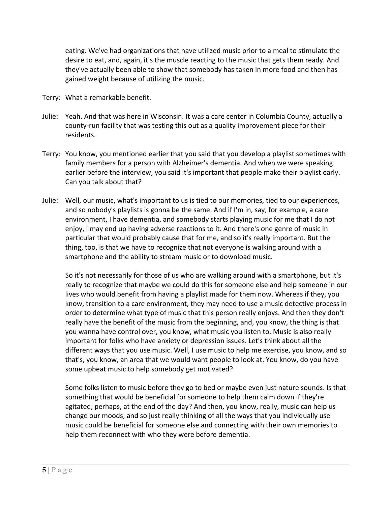eating. We've had organizations that have utilized music prior to a meal to stimulate the desire to eat, and, again, it's the muscle reacting to the music that gets them ready. And they've actually been able to show that somebody has taken in more food and then has gained weight because of utilizing the music.

- Terry: What a remarkable benefit.
- Julie: Yeah. And that was here in Wisconsin. It was a care center in Columbia County, actually a county-run facility that was testing this out as a quality improvement piece for their residents.
- Terry: You know, you mentioned earlier that you said that you develop a playlist sometimes with family members for a person with Alzheimer's dementia. And when we were speaking earlier before the interview, you said it's important that people make their playlist early. Can you talk about that?
- Julie: Well, our music, what's important to us is tied to our memories, tied to our experiences, and so nobody's playlists is gonna be the same. And if I'm in, say, for example, a care environment, I have dementia, and somebody starts playing music for me that I do not enjoy, I may end up having adverse reactions to it. And there's one genre of music in particular that would probably cause that for me, and so it's really important. But the thing, too, is that we have to recognize that not everyone is walking around with a smartphone and the ability to stream music or to download music.

So it's not necessarily for those of us who are walking around with a smartphone, but it's really to recognize that maybe we could do this for someone else and help someone in our lives who would benefit from having a playlist made for them now. Whereas if they, you know, transition to a care environment, they may need to use a music detective process in order to determine what type of music that this person really enjoys. And then they don't really have the benefit of the music from the beginning, and, you know, the thing is that you wanna have control over, you know, what music you listen to. Music is also really important for folks who have anxiety or depression issues. Let's think about all the different ways that you use music. Well, I use music to help me exercise, you know, and so that's, you know, an area that we would want people to look at. You know, do you have some upbeat music to help somebody get motivated?

Some folks listen to music before they go to bed or maybe even just nature sounds. Is that something that would be beneficial for someone to help them calm down if they're agitated, perhaps, at the end of the day? And then, you know, really, music can help us change our moods, and so just really thinking of all the ways that you individually use music could be beneficial for someone else and connecting with their own memories to help them reconnect with who they were before dementia.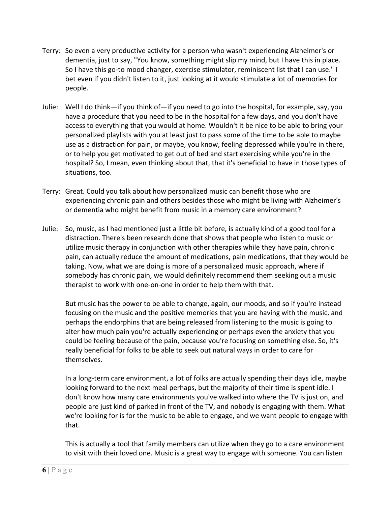- Terry: So even a very productive activity for a person who wasn't experiencing Alzheimer's or dementia, just to say, "You know, something might slip my mind, but I have this in place. So I have this go‐to mood changer, exercise stimulator, reminiscent list that I can use." I bet even if you didn't listen to it, just looking at it would stimulate a lot of memories for people.
- Julie: Well I do think—if you think of—if you need to go into the hospital, for example, say, you have a procedure that you need to be in the hospital for a few days, and you don't have access to everything that you would at home. Wouldn't it be nice to be able to bring your personalized playlists with you at least just to pass some of the time to be able to maybe use as a distraction for pain, or maybe, you know, feeling depressed while you're in there, or to help you get motivated to get out of bed and start exercising while you're in the hospital? So, I mean, even thinking about that, that it's beneficial to have in those types of situations, too.
- Terry: Great. Could you talk about how personalized music can benefit those who are experiencing chronic pain and others besides those who might be living with Alzheimer's or dementia who might benefit from music in a memory care environment?
- Julie: So, music, as I had mentioned just a little bit before, is actually kind of a good tool for a distraction. There's been research done that shows that people who listen to music or utilize music therapy in conjunction with other therapies while they have pain, chronic pain, can actually reduce the amount of medications, pain medications, that they would be taking. Now, what we are doing is more of a personalized music approach, where if somebody has chronic pain, we would definitely recommend them seeking out a music therapist to work with one‐on‐one in order to help them with that.

But music has the power to be able to change, again, our moods, and so if you're instead focusing on the music and the positive memories that you are having with the music, and perhaps the endorphins that are being released from listening to the music is going to alter how much pain you're actually experiencing or perhaps even the anxiety that you could be feeling because of the pain, because you're focusing on something else. So, it's really beneficial for folks to be able to seek out natural ways in order to care for themselves.

In a long‐term care environment, a lot of folks are actually spending their days idle, maybe looking forward to the next meal perhaps, but the majority of their time is spent idle. I don't know how many care environments you've walked into where the TV is just on, and people are just kind of parked in front of the TV, and nobody is engaging with them. What we're looking for is for the music to be able to engage, and we want people to engage with that.

This is actually a tool that family members can utilize when they go to a care environment to visit with their loved one. Music is a great way to engage with someone. You can listen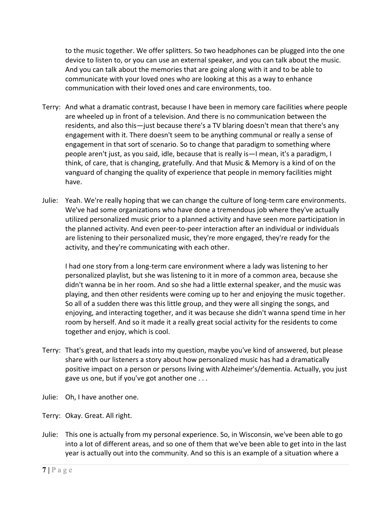to the music together. We offer splitters. So two headphones can be plugged into the one device to listen to, or you can use an external speaker, and you can talk about the music. And you can talk about the memories that are going along with it and to be able to communicate with your loved ones who are looking at this as a way to enhance communication with their loved ones and care environments, too.

- Terry: And what a dramatic contrast, because I have been in memory care facilities where people are wheeled up in front of a television. And there is no communication between the residents, and also this—just because there's a TV blaring doesn't mean that there's any engagement with it. There doesn't seem to be anything communal or really a sense of engagement in that sort of scenario. So to change that paradigm to something where people aren't just, as you said, idle, because that is really is—I mean, it's a paradigm, I think, of care, that is changing, gratefully. And that Music & Memory is a kind of on the vanguard of changing the quality of experience that people in memory facilities might have.
- Julie: Yeah. We're really hoping that we can change the culture of long-term care environments. We've had some organizations who have done a tremendous job where they've actually utilized personalized music prior to a planned activity and have seen more participation in the planned activity. And even peer‐to‐peer interaction after an individual or individuals are listening to their personalized music, they're more engaged, they're ready for the activity, and they're communicating with each other.

I had one story from a long‐term care environment where a lady was listening to her personalized playlist, but she was listening to it in more of a common area, because she didn't wanna be in her room. And so she had a little external speaker, and the music was playing, and then other residents were coming up to her and enjoying the music together. So all of a sudden there was this little group, and they were all singing the songs, and enjoying, and interacting together, and it was because she didn't wanna spend time in her room by herself. And so it made it a really great social activity for the residents to come together and enjoy, which is cool.

- Terry: That's great, and that leads into my question, maybe you've kind of answered, but please share with our listeners a story about how personalized music has had a dramatically positive impact on a person or persons living with Alzheimer's/dementia. Actually, you just gave us one, but if you've got another one . . .
- Julie: Oh, I have another one.
- Terry: Okay. Great. All right.
- Julie: This one is actually from my personal experience. So, in Wisconsin, we've been able to go into a lot of different areas, and so one of them that we've been able to get into in the last year is actually out into the community. And so this is an example of a situation where a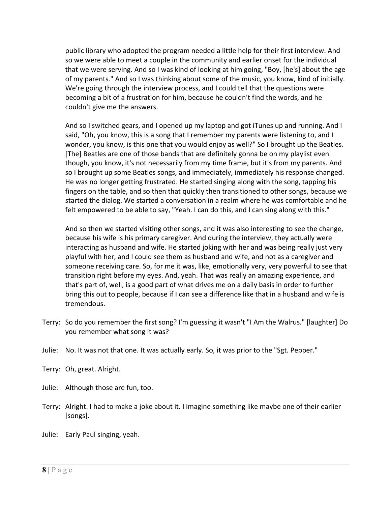public library who adopted the program needed a little help for their first interview. And so we were able to meet a couple in the community and earlier onset for the individual that we were serving. And so I was kind of looking at him going, "Boy, [he's] about the age of my parents." And so I was thinking about some of the music, you know, kind of initially. We're going through the interview process, and I could tell that the questions were becoming a bit of a frustration for him, because he couldn't find the words, and he couldn't give me the answers.

And so I switched gears, and I opened up my laptop and got iTunes up and running. And I said, "Oh, you know, this is a song that I remember my parents were listening to, and I wonder, you know, is this one that you would enjoy as well?" So I brought up the Beatles. [The] Beatles are one of those bands that are definitely gonna be on my playlist even though, you know, it's not necessarily from my time frame, but it's from my parents. And so I brought up some Beatles songs, and immediately, immediately his response changed. He was no longer getting frustrated. He started singing along with the song, tapping his fingers on the table, and so then that quickly then transitioned to other songs, because we started the dialog. We started a conversation in a realm where he was comfortable and he felt empowered to be able to say, "Yeah. I can do this, and I can sing along with this."

And so then we started visiting other songs, and it was also interesting to see the change, because his wife is his primary caregiver. And during the interview, they actually were interacting as husband and wife. He started joking with her and was being really just very playful with her, and I could see them as husband and wife, and not as a caregiver and someone receiving care. So, for me it was, like, emotionally very, very powerful to see that transition right before my eyes. And, yeah. That was really an amazing experience, and that's part of, well, is a good part of what drives me on a daily basis in order to further bring this out to people, because if I can see a difference like that in a husband and wife is tremendous.

- Terry: So do you remember the first song? I'm guessing it wasn't "I Am the Walrus." [laughter] Do you remember what song it was?
- Julie: No. It was not that one. It was actually early. So, it was prior to the "Sgt. Pepper."
- Terry: Oh, great. Alright.
- Julie: Although those are fun, too.
- Terry: Alright. I had to make a joke about it. I imagine something like maybe one of their earlier [songs].
- Julie: Early Paul singing, yeah.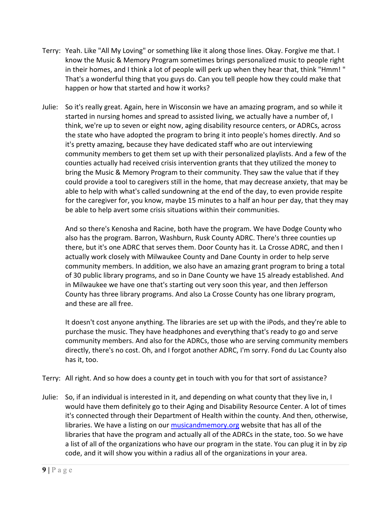- Terry: Yeah. Like "All My Loving" or something like it along those lines. Okay. Forgive me that. I know the Music & Memory Program sometimes brings personalized music to people right in their homes, and I think a lot of people will perk up when they hear that, think "Hmm! " That's a wonderful thing that you guys do. Can you tell people how they could make that happen or how that started and how it works?
- Julie: So it's really great. Again, here in Wisconsin we have an amazing program, and so while it started in nursing homes and spread to assisted living, we actually have a number of, I think, we're up to seven or eight now, aging disability resource centers, or ADRCs, across the state who have adopted the program to bring it into people's homes directly. And so it's pretty amazing, because they have dedicated staff who are out interviewing community members to get them set up with their personalized playlists. And a few of the counties actually had received crisis intervention grants that they utilized the money to bring the Music & Memory Program to their community. They saw the value that if they could provide a tool to caregivers still in the home, that may decrease anxiety, that may be able to help with what's called sundowning at the end of the day, to even provide respite for the caregiver for, you know, maybe 15 minutes to a half an hour per day, that they may be able to help avert some crisis situations within their communities.

And so there's Kenosha and Racine, both have the program. We have Dodge County who also has the program. Barron, Washburn, Rusk County ADRC. There's three counties up there, but it's one ADRC that serves them. Door County has it. La Crosse ADRC, and then I actually work closely with Milwaukee County and Dane County in order to help serve community members. In addition, we also have an amazing grant program to bring a total of 30 public library programs, and so in Dane County we have 15 already established. And in Milwaukee we have one that's starting out very soon this year, and then Jefferson County has three library programs. And also La Crosse County has one library program, and these are all free.

It doesn't cost anyone anything. The libraries are set up with the iPods, and they're able to purchase the music. They have headphones and everything that's ready to go and serve community members. And also for the ADRCs, those who are serving community members directly, there's no cost. Oh, and I forgot another ADRC, I'm sorry. Fond du Lac County also has it, too.

- Terry: All right. And so how does a county get in touch with you for that sort of assistance?
- Julie: So, if an individual is interested in it, and depending on what county that they live in, I would have them definitely go to their Aging and Disability Resource Center. A lot of times it's connected through their Department of Health within the county. And then, otherwise, libraries. We have a listing on our musicandmemory.org website that has all of the libraries that have the program and actually all of the ADRCs in the state, too. So we have a list of all of the organizations who have our program in the state. You can plug it in by zip code, and it will show you within a radius all of the organizations in your area.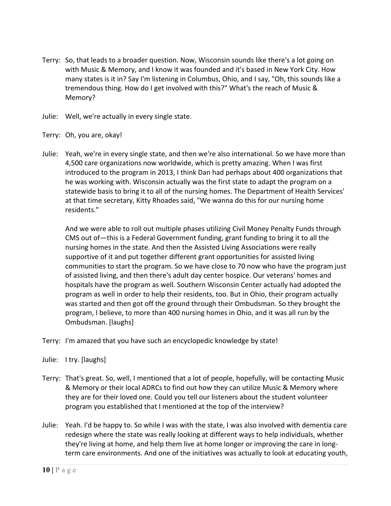- Terry: So, that leads to a broader question. Now, Wisconsin sounds like there's a lot going on with Music & Memory, and I know it was founded and it's based in New York City. How many states is it in? Say I'm listening in Columbus, Ohio, and I say, "Oh, this sounds like a tremendous thing. How do I get involved with this?" What's the reach of Music & Memory?
- Julie: Well, we're actually in every single state.
- Terry: Oh, you are, okay!
- Julie: Yeah, we're in every single state, and then we're also international. So we have more than 4,500 care organizations now worldwide, which is pretty amazing. When I was first introduced to the program in 2013, I think Dan had perhaps about 400 organizations that he was working with. Wisconsin actually was the first state to adapt the program on a statewide basis to bring it to all of the nursing homes. The Department of Health Services' at that time secretary, Kitty Rhoades said, "We wanna do this for our nursing home residents."

And we were able to roll out multiple phases utilizing Civil Money Penalty Funds through CMS out of—this is a Federal Government funding, grant funding to bring it to all the nursing homes in the state. And then the Assisted Living Associations were really supportive of it and put together different grant opportunities for assisted living communities to start the program. So we have close to 70 now who have the program just of assisted living, and then there's adult day center hospice. Our veterans' homes and hospitals have the program as well. Southern Wisconsin Center actually had adopted the program as well in order to help their residents, too. But in Ohio, their program actually was started and then got off the ground through their Ombudsman. So they brought the program, I believe, to more than 400 nursing homes in Ohio, and it was all run by the Ombudsman. [laughs]

- Terry: I'm amazed that you have such an encyclopedic knowledge by state!
- Julie: I try. [laughs]
- Terry: That's great. So, well, I mentioned that a lot of people, hopefully, will be contacting Music & Memory or their local ADRCs to find out how they can utilize Music & Memory where they are for their loved one. Could you tell our listeners about the student volunteer program you established that I mentioned at the top of the interview?
- Julie: Yeah. I'd be happy to. So while I was with the state, I was also involved with dementia care redesign where the state was really looking at different ways to help individuals, whether they're living at home, and help them live at home longer or improving the care in long‐ term care environments. And one of the initiatives was actually to look at educating youth,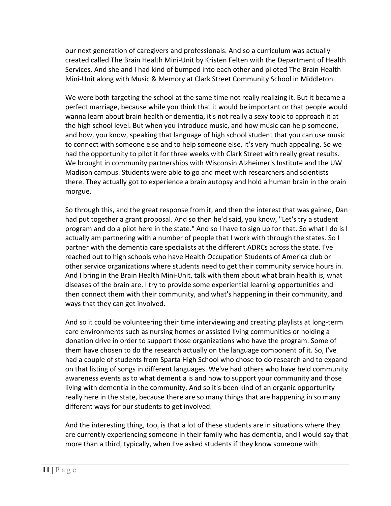our next generation of caregivers and professionals. And so a curriculum was actually created called The Brain Health Mini‐Unit by Kristen Felten with the Department of Health Services. And she and I had kind of bumped into each other and piloted The Brain Health Mini‐Unit along with Music & Memory at Clark Street Community School in Middleton.

We were both targeting the school at the same time not really realizing it. But it became a perfect marriage, because while you think that it would be important or that people would wanna learn about brain health or dementia, it's not really a sexy topic to approach it at the high school level. But when you introduce music, and how music can help someone, and how, you know, speaking that language of high school student that you can use music to connect with someone else and to help someone else, it's very much appealing. So we had the opportunity to pilot it for three weeks with Clark Street with really great results. We brought in community partnerships with Wisconsin Alzheimer's Institute and the UW Madison campus. Students were able to go and meet with researchers and scientists there. They actually got to experience a brain autopsy and hold a human brain in the brain morgue.

So through this, and the great response from it, and then the interest that was gained, Dan had put together a grant proposal. And so then he'd said, you know, "Let's try a student program and do a pilot here in the state." And so I have to sign up for that. So what I do is I actually am partnering with a number of people that I work with through the states. So I partner with the dementia care specialists at the different ADRCs across the state. I've reached out to high schools who have Health Occupation Students of America club or other service organizations where students need to get their community service hours in. And I bring in the Brain Health Mini‐Unit, talk with them about what brain health is, what diseases of the brain are. I try to provide some experiential learning opportunities and then connect them with their community, and what's happening in their community, and ways that they can get involved.

And so it could be volunteering their time interviewing and creating playlists at long-term care environments such as nursing homes or assisted living communities or holding a donation drive in order to support those organizations who have the program. Some of them have chosen to do the research actually on the language component of it. So, I've had a couple of students from Sparta High School who chose to do research and to expand on that listing of songs in different languages. We've had others who have held community awareness events as to what dementia is and how to support your community and those living with dementia in the community. And so it's been kind of an organic opportunity really here in the state, because there are so many things that are happening in so many different ways for our students to get involved.

And the interesting thing, too, is that a lot of these students are in situations where they are currently experiencing someone in their family who has dementia, and I would say that more than a third, typically, when I've asked students if they know someone with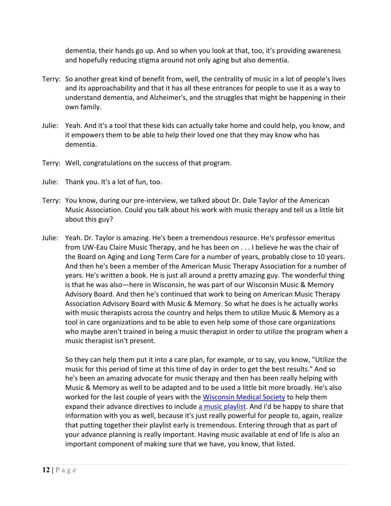dementia, their hands go up. And so when you look at that, too, it's providing awareness and hopefully reducing stigma around not only aging but also dementia.

- Terry: So another great kind of benefit from, well, the centrality of music in a lot of people's lives and its approachability and that it has all these entrances for people to use it as a way to understand dementia, and Alzheimer's, and the struggles that might be happening in their own family.
- Julie: Yeah. And it's a tool that these kids can actually take home and could help, you know, and it empowers them to be able to help their loved one that they may know who has dementia.
- Terry: Well, congratulations on the success of that program.
- Julie: Thank you. It's a lot of fun, too.
- Terry: You know, during our pre‐interview, we talked about Dr. Dale Taylor of the American Music Association. Could you talk about his work with music therapy and tell us a little bit about this guy?
- Julie: Yeah. Dr. Taylor is amazing. He's been a tremendous resource. He's professor emeritus from UW‐Eau Claire Music Therapy, and he has been on . . . I believe he was the chair of the Board on Aging and Long Term Care for a number of years, probably close to 10 years. And then he's been a member of the American Music Therapy Association for a number of years. He's written a book. He is just all around a pretty amazing guy. The wonderful thing is that he was also—here in Wisconsin, he was part of our Wisconsin Music & Memory Advisory Board. And then he's continued that work to being on American Music Therapy Association Advisory Board with Music & Memory. So what he does is he actually works with music therapists across the country and helps them to utilize Music & Memory as a tool in care organizations and to be able to even help some of those care organizations who maybe aren't trained in being a music therapist in order to utilize the program when a music therapist isn't present.

So they can help them put it into a care plan, for example, or to say, you know, "Utilize the music for this period of time at this time of day in order to get the best results." And so he's been an amazing advocate for music therapy and then has been really helping with Music & Memory as well to be adapted and to be used a little bit more broadly. He's also worked for the last couple of years with the Wisconsin Medical Society to help them expand their advance directives to include a music playlist. And I'd be happy to share that information with you as well, because it's just really powerful for people to, again, realize that putting together their playlist early is tremendous. Entering through that as part of your advance planning is really important. Having music available at end of life is also an important component of making sure that we have, you know, that listed.